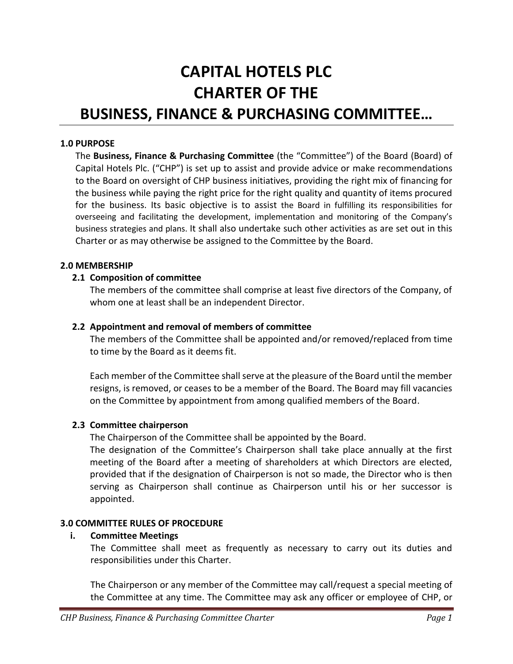# **CAPITAL HOTELS PLC CHARTER OF THE BUSINESS, FINANCE & PURCHASING COMMITTEE…**

#### **1.0 PURPOSE**

The **Business, Finance & Purchasing Committee** (the "Committee") of the Board (Board) of Capital Hotels Plc. ("CHP") is set up to assist and provide advice or make recommendations to the Board on oversight of CHP business initiatives, providing the right mix of financing for the business while paying the right price for the right quality and quantity of items procured for the business. Its basic objective is to assist the Board in fulfilling its responsibilities for overseeing and facilitating the development, implementation and monitoring of the Company's business strategies and plans. It shall also undertake such other activities as are set out in this Charter or as may otherwise be assigned to the Committee by the Board.

#### **2.0 MEMBERSHIP**

#### **2.1 Composition of committee**

The members of the committee shall comprise at least five directors of the Company, of whom one at least shall be an independent Director.

#### **2.2 Appointment and removal of members of committee**

The members of the Committee shall be appointed and/or removed/replaced from time to time by the Board as it deems fit.

Each member of the Committee shall serve at the pleasure of the Board until the member resigns, is removed, or ceases to be a member of the Board. The Board may fill vacancies on the Committee by appointment from among qualified members of the Board.

#### **2.3 Committee chairperson**

The Chairperson of the Committee shall be appointed by the Board.

The designation of the Committee's Chairperson shall take place annually at the first meeting of the Board after a meeting of shareholders at which Directors are elected, provided that if the designation of Chairperson is not so made, the Director who is then serving as Chairperson shall continue as Chairperson until his or her successor is appointed.

#### **3.0 COMMITTEE RULES OF PROCEDURE**

#### **i. Committee Meetings**

The Committee shall meet as frequently as necessary to carry out its duties and responsibilities under this Charter.

The Chairperson or any member of the Committee may call/request a special meeting of the Committee at any time. The Committee may ask any officer or employee of CHP, or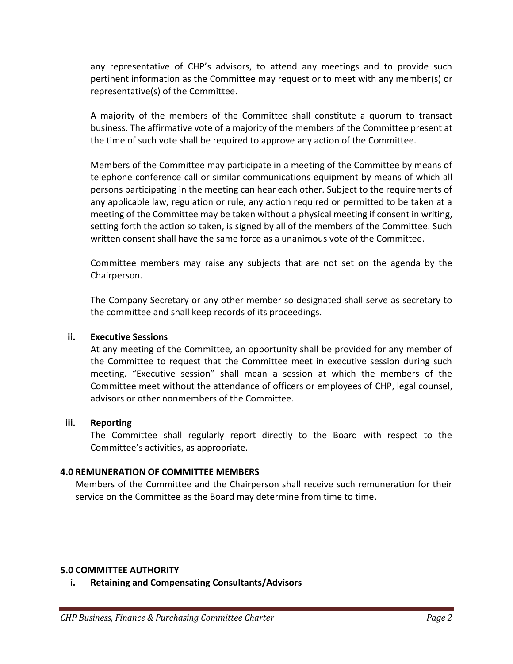any representative of CHP's advisors, to attend any meetings and to provide such pertinent information as the Committee may request or to meet with any member(s) or representative(s) of the Committee.

A majority of the members of the Committee shall constitute a quorum to transact business. The affirmative vote of a majority of the members of the Committee present at the time of such vote shall be required to approve any action of the Committee.

Members of the Committee may participate in a meeting of the Committee by means of telephone conference call or similar communications equipment by means of which all persons participating in the meeting can hear each other. Subject to the requirements of any applicable law, regulation or rule, any action required or permitted to be taken at a meeting of the Committee may be taken without a physical meeting if consent in writing, setting forth the action so taken, is signed by all of the members of the Committee. Such written consent shall have the same force as a unanimous vote of the Committee.

Committee members may raise any subjects that are not set on the agenda by the Chairperson.

The Company Secretary or any other member so designated shall serve as secretary to the committee and shall keep records of its proceedings.

# **ii. Executive Sessions**

At any meeting of the Committee, an opportunity shall be provided for any member of the Committee to request that the Committee meet in executive session during such meeting. "Executive session" shall mean a session at which the members of the Committee meet without the attendance of officers or employees of CHP, legal counsel, advisors or other nonmembers of the Committee.

#### **iii. Reporting**

The Committee shall regularly report directly to the Board with respect to the Committee's activities, as appropriate.

# **4.0 REMUNERATION OF COMMITTEE MEMBERS**

Members of the Committee and the Chairperson shall receive such remuneration for their service on the Committee as the Board may determine from time to time.

#### **5.0 COMMITTEE AUTHORITY**

**i. Retaining and Compensating Consultants/Advisors**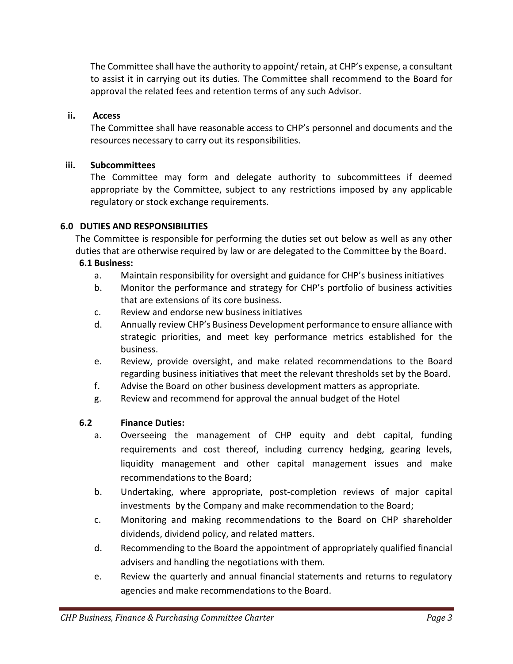The Committee shall have the authority to appoint/ retain, at CHP's expense, a consultant to assist it in carrying out its duties. The Committee shall recommend to the Board for approval the related fees and retention terms of any such Advisor.

# **ii. Access**

The Committee shall have reasonable access to CHP's personnel and documents and the resources necessary to carry out its responsibilities.

# **iii. Subcommittees**

The Committee may form and delegate authority to subcommittees if deemed appropriate by the Committee, subject to any restrictions imposed by any applicable regulatory or stock exchange requirements.

# **6.0 DUTIES AND RESPONSIBILITIES**

The Committee is responsible for performing the duties set out below as well as any other duties that are otherwise required by law or are delegated to the Committee by the Board.

# **6.1 Business:**

- a. Maintain responsibility for oversight and guidance for CHP's business initiatives
- b. Monitor the performance and strategy for CHP's portfolio of business activities that are extensions of its core business.
- c. Review and endorse new business initiatives
- d. Annually review CHP's Business Development performance to ensure alliance with strategic priorities, and meet key performance metrics established for the business.
- e. Review, provide oversight, and make related recommendations to the Board regarding business initiatives that meet the relevant thresholds set by the Board.
- f. Advise the Board on other business development matters as appropriate.
- g. Review and recommend for approval the annual budget of the Hotel

# **6.2 Finance Duties:**

- a. Overseeing the management of CHP equity and debt capital, funding requirements and cost thereof, including currency hedging, gearing levels, liquidity management and other capital management issues and make recommendations to the Board;
- b. Undertaking, where appropriate, post-completion reviews of major capital investments by the Company and make recommendation to the Board;
- c. Monitoring and making recommendations to the Board on CHP shareholder dividends, dividend policy, and related matters.
- d. Recommending to the Board the appointment of appropriately qualified financial advisers and handling the negotiations with them.
- e. Review the quarterly and annual financial statements and returns to regulatory agencies and make recommendations to the Board.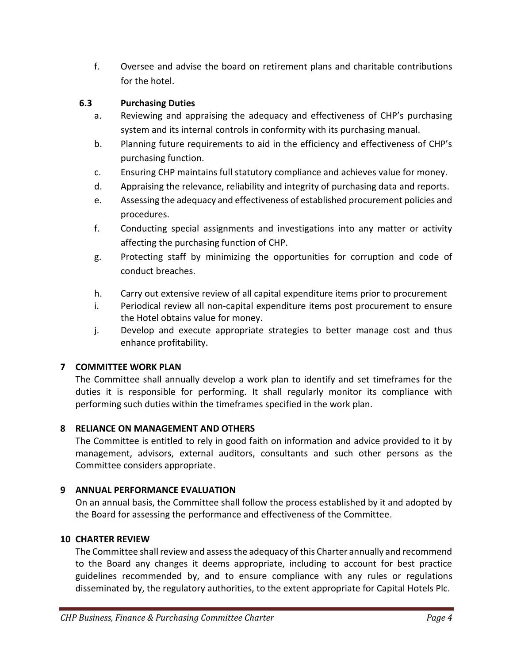f. Oversee and advise the board on retirement plans and charitable contributions for the hotel.

# **6.3 Purchasing Duties**

- a. Reviewing and appraising the adequacy and effectiveness of CHP's purchasing system and its internal controls in conformity with its purchasing manual.
- b. Planning future requirements to aid in the efficiency and effectiveness of CHP's purchasing function.
- c. Ensuring CHP maintains full statutory compliance and achieves value for money.
- d. Appraising the relevance, reliability and integrity of purchasing data and reports.
- e. Assessing the adequacy and effectiveness of established procurement policies and procedures.
- f. Conducting special assignments and investigations into any matter or activity affecting the purchasing function of CHP.
- g. Protecting staff by minimizing the opportunities for corruption and code of conduct breaches.
- h. Carry out extensive review of all capital expenditure items prior to procurement
- i. Periodical review all non-capital expenditure items post procurement to ensure the Hotel obtains value for money.
- j. Develop and execute appropriate strategies to better manage cost and thus enhance profitability.

# **7 COMMITTEE WORK PLAN**

The Committee shall annually develop a work plan to identify and set timeframes for the duties it is responsible for performing. It shall regularly monitor its compliance with performing such duties within the timeframes specified in the work plan.

# **8 RELIANCE ON MANAGEMENT AND OTHERS**

The Committee is entitled to rely in good faith on information and advice provided to it by management, advisors, external auditors, consultants and such other persons as the Committee considers appropriate.

# **9 ANNUAL PERFORMANCE EVALUATION**

On an annual basis, the Committee shall follow the process established by it and adopted by the Board for assessing the performance and effectiveness of the Committee.

# **10 CHARTER REVIEW**

The Committee shall review and assess the adequacy of this Charter annually and recommend to the Board any changes it deems appropriate, including to account for best practice guidelines recommended by, and to ensure compliance with any rules or regulations disseminated by, the regulatory authorities, to the extent appropriate for Capital Hotels Plc.